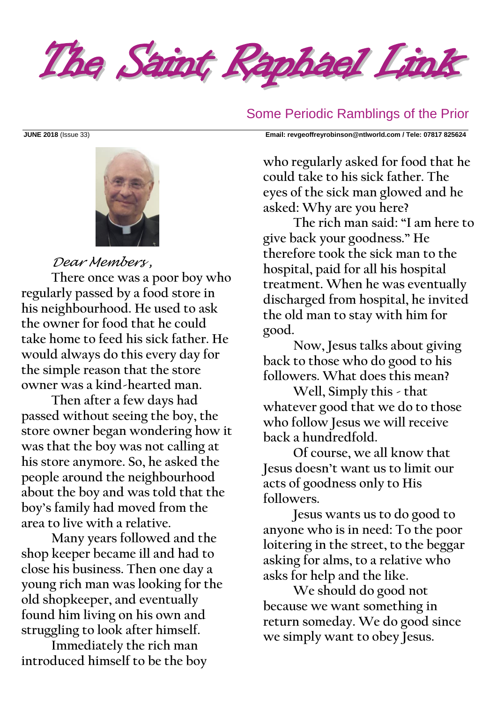

Some Periodic Ramblings of the Prior

**JUNE 2018** (Issue 33) **Email: [revgeoffreyrobinson@ntlworld.com](mailto:revgeoffreyrobinson@ntlworld.com) / Tele: 07817 825624**



### *Dear Members ,*

**There once was a poor boy who regularly passed by a food store in his neighbourhood. He used to ask the owner for food that he could take home to feed his sick father. He would always do this every day for the simple reason that the store owner was a kind-hearted man.**

**Then after a few days had passed without seeing the boy, the store owner began wondering how it was that the boy was not calling at his store anymore. So, he asked the people around the neighbourhood about the boy and was told that the boy's family had moved from the area to live with a relative.**

**Many years followed and the shop keeper became ill and had to close his business. Then one day a young rich man was looking for the old shopkeeper, and eventually found him living on his own and struggling to look after himself.**

**Immediately the rich man introduced himself to be the boy**  **who regularly asked for food that he could take to his sick father. The eyes of the sick man glowed and he asked: Why are you here?** 

**The rich man said: "I am here to give back your goodness." He therefore took the sick man to the hospital, paid for all his hospital treatment. When he was eventually discharged from hospital, he invited the old man to stay with him for good.**

**Now, Jesus talks about giving back to those who do good to his followers. What does this mean?** 

**Well, Simply this - that whatever good that we do to those who follow Jesus we will receive back a hundredfold.** 

**Of course, we all know that Jesus doesn't want us to limit our acts of goodness only to His followers.** 

**Jesus wants us to do good to anyone who is in need: To the poor loitering in the street, to the beggar asking for alms, to a relative who asks for help and the like.** 

**We should do good not because we want something in return someday. We do good since we simply want to obey Jesus.**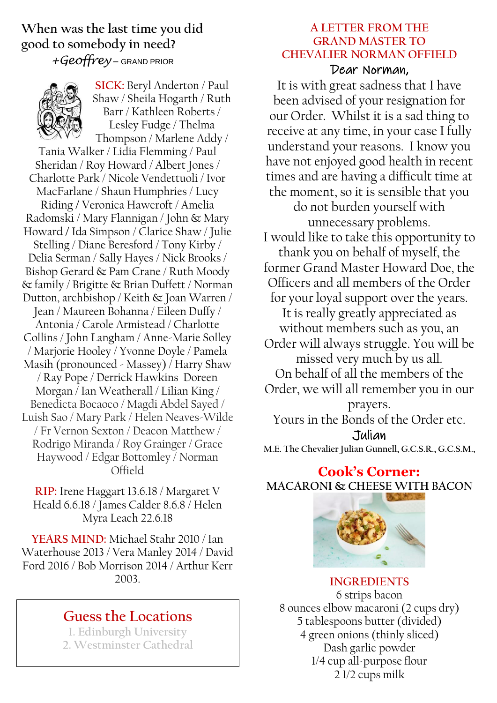**When was the last time you did good to somebody in need?**  *+Geoffrey* – GRAND PRIOR



**SICK:** Beryl Anderton / Paul Shaw / Sheila Hogarth / Ruth Barr / Kathleen Roberts / Lesley Fudge / Thelma Thompson / Marlene Addy /

Tania Walker / Lidia Flemming / Paul Sheridan / Roy Howard / Albert Jones / Charlotte Park / Nicole Vendettuoli / Ivor MacFarlane / Shaun Humphries / Lucy Riding **/** Veronica Hawcroft / Amelia Radomski / Mary Flannigan / John & Mary Howard **/** Ida Simpson / Clarice Shaw / Julie Stelling / Diane Beresford / Tony Kirby / Delia Serman / Sally Hayes / Nick Brooks / Bishop Gerard & Pam Crane / Ruth Moody & family / Brigitte & Brian Duffett / Norman Dutton, archbishop / Keith & Joan Warren / Jean / Maureen Bohanna / Eileen Duffy / Antonia / Carole Armistead / Charlotte Collins / John Langham / Anne-Marie Solley / Marjorie Hooley / Yvonne Doyle / Pamela Masih (pronounced - Massey) / Harry Shaw / Ray Pope / Derrick Hawkins Doreen Morgan / Ian Weatherall / Lilian King / Benedicta Bocaoco / Magdi Abdel Sayed / Luish Sao / Mary Park / Helen Neaves-Wilde / Fr Vernon Sexton / Deacon Matthew / Rodrigo Miranda / Roy Grainger / Grace Haywood / Edgar Bottomley / Norman Offield

**RIP:** Irene Haggart 13.6.18 / Margaret V Heald 6.6.18 / James Calder 8.6.8 / Helen Myra Leach 22.6.18

**YEARS MIND:** Michael Stahr 2010 / Ian Waterhouse 2013 / Vera Manley 2014 / David Ford 2016 / Bob Morrison 2014 / Arthur Kerr 2003.

# **Guess the Locations**

**1. Edinburgh University 2. Westminster Cathedral**

#### **A LETTER FROM THE GRAND MASTER TO CHEVALIER NORMAN OFFIELD** Dear Norman,

It is with great sadness that I have been advised of your resignation for our Order. Whilst it is a sad thing to receive at any time, in your case I fully understand your reasons. I know you have not enjoyed good health in recent times and are having a difficult time at the moment, so it is sensible that you do not burden yourself with unnecessary problems. I would like to take this opportunity to thank you on behalf of myself, the former Grand Master Howard Doe, the Officers and all members of the Order for your loyal support over the years. It is really greatly appreciated as without members such as you, an Order will always struggle. You will be missed very much by us all. On behalf of all the members of the Order, we will all remember you in our prayers. Yours in the Bonds of the Order etc. Julian

**M.E. The Chevalier Julian Gunnell, G.C.S.R., G.C.S.M.,**

### **Cook's Corner: MACARONI & CHEESE WITH BACON**



**INGREDIENTS** 6 strips bacon 8 ounces elbow macaroni (2 cups dry) 5 tablespoons butter (divided) 4 green onions (thinly sliced) Dash garlic powder 1/4 cup all-purpose flour 2 1/2 cups milk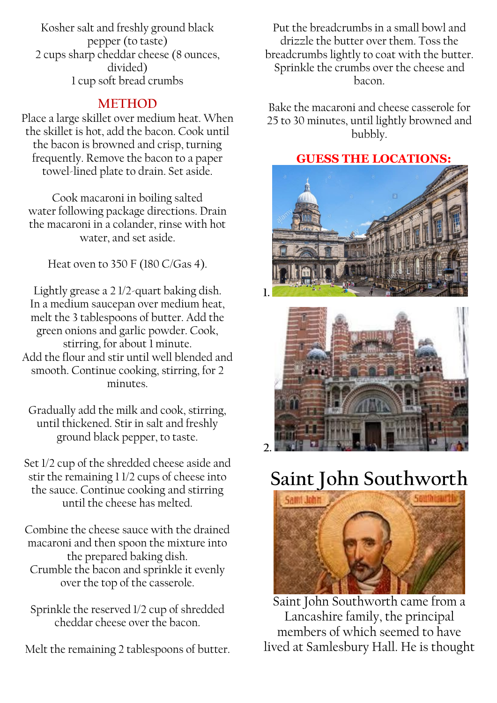Kosher salt and freshly ground black pepper (to taste) 2 cups sharp cheddar cheese (8 ounces, divided) 1 cup [soft bread](https://www.thespruceeats.com/easy-make-ahead-bread-crumbs-3057574) crumbs

## **METHOD**

Place a large skillet over medium heat. When the skillet is hot, add the bacon. Cook until the bacon is browned and crisp, turning frequently. Remove the bacon to a paper towel-lined plate to drain. Set aside.

Cook macaroni in [boiling salted](https://www.thespruceeats.com/how-much-salt-is-in-boiling-salted-water-3057784)  [water](https://www.thespruceeats.com/how-much-salt-is-in-boiling-salted-water-3057784) following package directions. Drain the macaroni in a colander, rinse with hot water, and set aside.

Heat oven to 350 F (180 C/Gas 4).

Lightly grease a 2 1/2-quart baking dish. In a medium saucepan over medium heat, melt the 3 tablespoons of butter. Add the green onions and garlic powder. Cook, stirring, for about 1 minute. Add the flour and stir until well blended and smooth. Continue cooking, stirring, for 2 minutes.

Gradually add the milk and cook, stirring, until thickened. Stir in salt and freshly ground black pepper, to taste.

Set 1/2 cup of the shredded cheese aside and stir the remaining 1 1/2 cups of cheese into the sauce. Continue cooking and stirring until the cheese has melted.

Combine the cheese sauce with the drained macaroni and then spoon the mixture into the prepared baking dish. Crumble the bacon and sprinkle it evenly over the top of the casserole.

Sprinkle the reserved 1/2 cup of shredded cheddar cheese over the bacon.

Melt the remaining 2 tablespoons of butter.

Put the breadcrumbs in a small bowl and drizzle the butter over them. Toss the breadcrumbs lightly to coat with the butter. Sprinkle the crumbs over the cheese and bacon.

Bake the [macaroni and cheese casserole](https://www.thespruceeats.com/macaroni-and-cheese-recipes-3058122) for 25 to 30 minutes, until lightly browned and bubbly.

# **GUESS THE LOCATIONS:**





# **Saint John Southworth**



Saint John Southworth came from a Lancashire family, the principal members of which seemed to have lived at Samlesbury Hall. He is thought